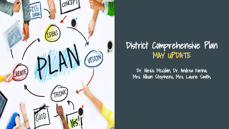

### District Comprehensive Plan MAY UPDATE

Dr. Alexis McGloin, Dr. Andrea Farina, Mrs. Allison Stephens, Mrs. Laurie Smith,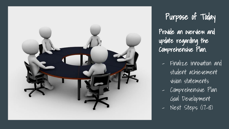

Purpose of Today Provide an overview and update regarding the Comprehensive Plan.

- Finalize innovation and student achievement vision statements
- Comprehensive Plan Goal Development
- Next Steps (17-18)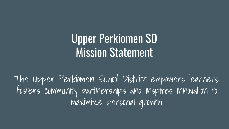# Upper Perkiomen SD Mission Statement

The Upper Perkiomen School District empowers learners, fosters community partnerships and inspires innovation to maximize personal growth.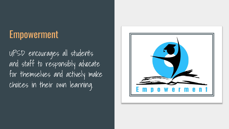## Empowerment

UPSD encourages all students and staff to responsibly advocate for themselves and actively make choices in their own learning.

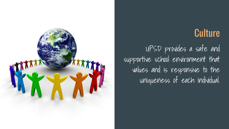### **Culture**

UPSD provides a safe and supportive school environment that values and is responsive to the uniqueness of each individual.

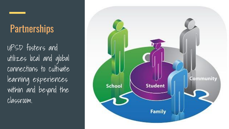# **Partnerships**

UPSD fosters and utilizes local and global connections to cultivate learning experiences within and beyond the classroom.

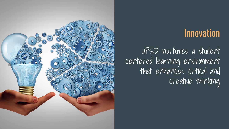### Innovation

UPSD nurtures a student centered learning environment that enhances critical and creative thinking

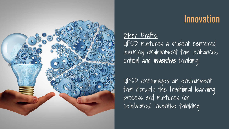

### Innovation

#### Other Drafts:

UPSD nurtures a student centered learning environment that enhances critical and **inventive** thinking.

UPSD encourages an environment that disrupts the traditional learning process and nurtures (or celebrates) inventive thinking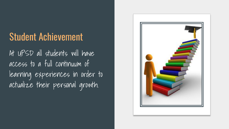# Student Achievement

At UPSD all students will have access to a full continuum of learning experiences in order to actualize their personal growth.

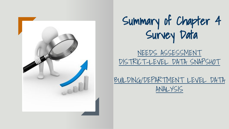



[NEEDS ASSESSMENT](https://docs.google.com/document/d/1ogEaVeJdjEHdUyE9qlTImPB95n3nXGuLMtemlTFoy3w/edit)  [DISTRICT-LEVEL DATA SNAPSHOT](https://docs.google.com/document/d/1ogEaVeJdjEHdUyE9qlTImPB95n3nXGuLMtemlTFoy3w/edit)

[BUILDING/DEPARTMENT LEVEL DATA](https://docs.google.com/a/upsd.org/document/d/1kHVCtn4JvRrgvh6seUK7q2Um10SgSLzjPA4tw8KUnP0/edit?usp=sharing) [ANALYSIS](https://docs.google.com/a/upsd.org/document/d/1kHVCtn4JvRrgvh6seUK7q2Um10SgSLzjPA4tw8KUnP0/edit?usp=sharing)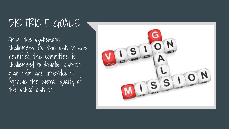# DISTRICT GOALS

Once the systematic challenges for the district are identified, the committee is challenged to develop district goals that are intended to improve the overall quality of the school district.

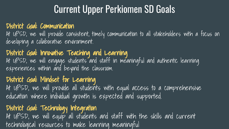# Current Upper Perkiomen SD Goals

#### District Goal: Communication

At UPSD, we will provide consistent, timely communication to all stakeholders with a focus on developing a collaborative environment.

#### District Goal: Innovative Teaching and Learning At UPSD, we will engage students and staff in meaningful and authentic learning experiences within and beyond the classroom.

#### District Goal: Mindset for Learning

At UPSD, we will provide all students with equal access to a comprehensive education where individual growth is expected and supported.

#### District Goal: Technology Integration

At UPSD, we will equip all students and staff with the skills and current technological resources to make learning meaningful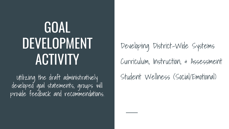# GOAL DEVELOPMENT ACTIVITY

developed goal statements, groups will provide feedback and recommendations.

Developing District-Wide Systems Curriculum, Instruction, & Assessment Utilizing the draft administratively Student Wellness (Social/Emotional)